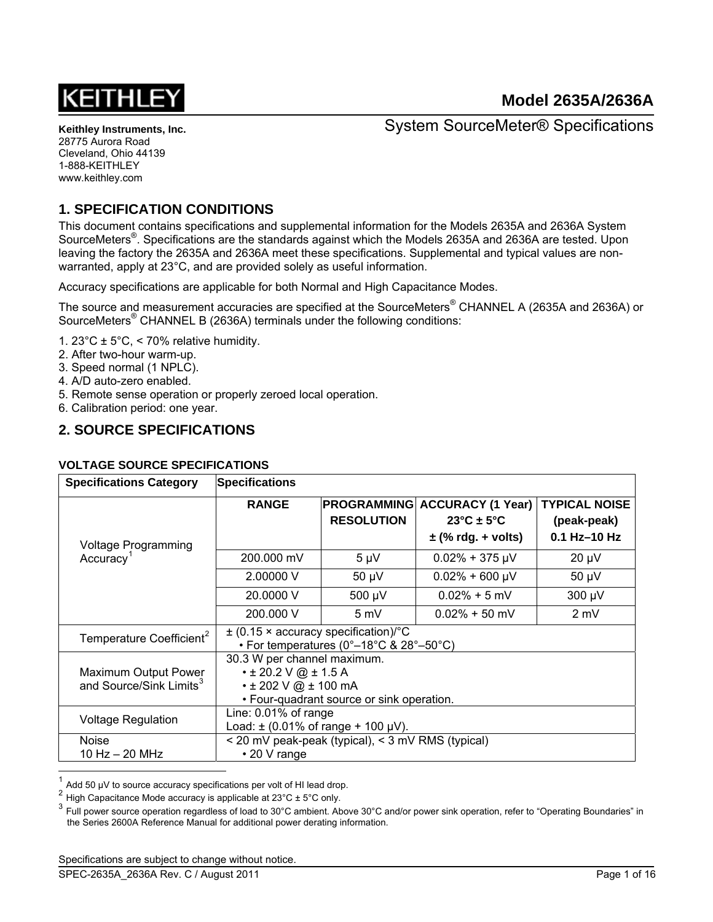

System SourceMeter® Specifications

# **1. SPECIFICATION CONDITIONS**

This document contains specifications and supplemental information for the Models 2635A and 2636A System SourceMeters<sup>®</sup>. Specifications are the standards against which the Models 2635A and 2636A are tested. Upon leaving the factory the 2635A and 2636A meet these specifications. Supplemental and typical values are nonwarranted, apply at 23°C, and are provided solely as useful information.

Accuracy specifications are applicable for both Normal and High Capacitance Modes.

The source and measurement accuracies are specified at the SourceMeters® CHANNEL A (2635A and 2636A) or SourceMeters<sup>®</sup> CHANNEL B (2636A) terminals under the following conditions:

- 1. 23 $^{\circ}$ C ± 5 $^{\circ}$ C, < 70% relative humidity.
- 2. After two-hour warm-up.
- 3. Speed normal (1 NPLC).
- 4. A/D auto-zero enabled.
- 5. Remote sense operation or properly zeroed local operation.
- 6. Calibration period: one year.

## **2. SOURCE SPECIFICATIONS**

#### **VOLTAGE SOURCE SPECIFICATIONS**

| <b>Specifications Category</b>                              | <b>Specifications</b>                                                                                                                |                                                                                            |                                                                                       |                                                       |  |
|-------------------------------------------------------------|--------------------------------------------------------------------------------------------------------------------------------------|--------------------------------------------------------------------------------------------|---------------------------------------------------------------------------------------|-------------------------------------------------------|--|
| <b>Voltage Programming</b>                                  | <b>RANGE</b>                                                                                                                         | <b>PROGRAMMING</b><br><b>RESOLUTION</b>                                                    | <b>ACCURACY (1 Year)</b><br>$23^{\circ}$ C ± 5 $^{\circ}$ C<br>$\pm$ (% rdg. + volts) | <b>TYPICAL NOISE</b><br>(peak-peak)<br>$0.1$ Hz-10 Hz |  |
| Accuracy <sup>1</sup>                                       | 200,000 mV                                                                                                                           | $5 \mu V$                                                                                  | $0.02\% + 375 \mu V$                                                                  | $20 \mu V$                                            |  |
|                                                             | 2.00000 V                                                                                                                            | $50 \mu V$                                                                                 | $0.02\% + 600 \mu V$                                                                  | $50 \mu V$                                            |  |
|                                                             | 20,0000 V                                                                                                                            | 500 µV                                                                                     | $0.02\% + 5$ mV                                                                       | 300 µV                                                |  |
|                                                             | 200.000 V                                                                                                                            | 5 mV                                                                                       | $0.02\% + 50$ mV                                                                      | $2 \text{ mV}$                                        |  |
| Temperature Coefficient <sup>2</sup>                        |                                                                                                                                      | $\pm$ (0.15 $\times$ accuracy specification)/°C<br>• For temperatures (0°–18°C & 28°–50°C) |                                                                                       |                                                       |  |
| Maximum Output Power<br>and Source/Sink Limits <sup>3</sup> | 30.3 W per channel maximum.<br>$\cdot$ ± 20.2 V @ ± 1.5 A<br>$\cdot$ ± 202 V @ ± 100 mA<br>• Four-quadrant source or sink operation. |                                                                                            |                                                                                       |                                                       |  |
| <b>Voltage Regulation</b>                                   | Line: $0.01\%$ of range<br>Load: $\pm$ (0.01% of range + 100 µV).                                                                    |                                                                                            |                                                                                       |                                                       |  |
| <b>Noise</b><br>10 Hz $-$ 20 MHz                            | < 20 mV peak-peak (typical), < 3 mV RMS (typical)<br>$\cdot$ 20 V range                                                              |                                                                                            |                                                                                       |                                                       |  |

<span id="page-0-0"></span><sup>1</sup> Add 50 µV to source accuracy specifications per volt of HI lead drop.

High Capacitance Mode accuracy is applicable at  $23^{\circ}$ C  $\pm$  5°C only.

<span id="page-0-2"></span><span id="page-0-1"></span><sup>3</sup> Full power source operation regardless of load to 30°C ambient. Above 30°C and/or power sink operation, refer to "Operating Boundaries" in the Series 2600A Reference Manual for additional power derating information.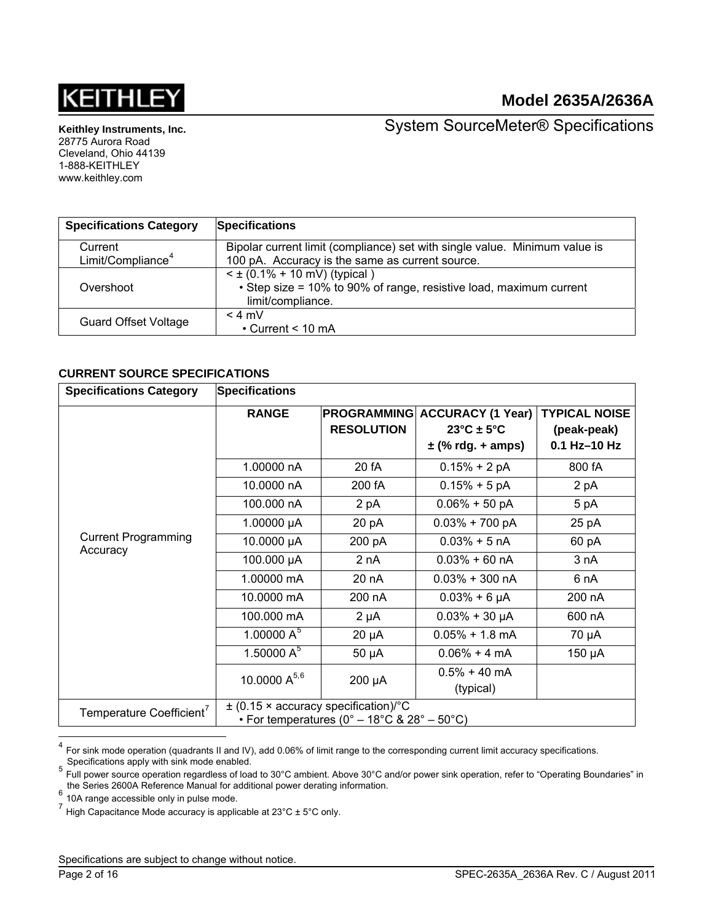

**Keithley Instruments, Inc.** 

28775 Aurora Road Cleveland, Ohio 44139 1-888-KEITHLEY www.keithley.com

System SourceMeter® Specifications

| <b>Specifications Category</b> | <b>Specifications</b>                                                                                                        |
|--------------------------------|------------------------------------------------------------------------------------------------------------------------------|
| Current                        | Bipolar current limit (compliance) set with single value. Minimum value is                                                   |
| Limit/Compliance <sup>4</sup>  | 100 pA. Accuracy is the same as current source.                                                                              |
| Overshoot                      | $\leq$ ± (0.1% + 10 mV) (typical)<br>• Step size = 10% to 90% of range, resistive load, maximum current<br>limit/compliance. |
| <b>Guard Offset Voltage</b>    | $< 4$ mV<br>$\cdot$ Current < 10 mA                                                                                          |

#### **CURRENT SOURCE SPECIFICATIONS**

| <b>Specifications Category</b>         | <b>Specifications</b> |                                                                                                |                                                                                      |                                                     |
|----------------------------------------|-----------------------|------------------------------------------------------------------------------------------------|--------------------------------------------------------------------------------------|-----------------------------------------------------|
|                                        | <b>RANGE</b>          | <b>PROGRAMMING</b><br><b>RESOLUTION</b>                                                        | <b>ACCURACY (1 Year)</b><br>$23^{\circ}$ C ± 5 $^{\circ}$ C<br>$\pm$ (% rdg. + amps) | <b>TYPICAL NOISE</b><br>(peak-peak)<br>0.1 Hz-10 Hz |
|                                        | 1.00000 nA            | 20 fA                                                                                          | $0.15% + 2 pA$                                                                       | 800 fA                                              |
|                                        | 10.0000 nA            | 200 fA                                                                                         | $0.15% + 5pA$                                                                        | 2 pA                                                |
|                                        | 100.000 nA            | 2 pA                                                                                           | $0.06\% + 50$ pA                                                                     | 5 pA                                                |
|                                        | 1.00000 $\mu$ A       | 20pA                                                                                           | $0.03\% + 700$ pA                                                                    | 25 pA                                               |
| <b>Current Programming</b><br>Accuracy | 10.0000 µA            | 200 pA                                                                                         | $0.03% + 5 nA$                                                                       | 60 pA                                               |
|                                        | 100.000 µA            | 2 nA                                                                                           | $0.03\% + 60 \text{ nA}$                                                             | 3 nA                                                |
|                                        | 1.00000 mA            | 20 nA                                                                                          | $0.03\% + 300$ nA                                                                    | 6 nA                                                |
|                                        | 10.0000 mA            | 200 nA                                                                                         | $0.03% + 6 \mu A$                                                                    | 200 nA                                              |
|                                        | 100.000 mA            | $2 \mu A$                                                                                      | $0.03% + 30 \mu A$                                                                   | 600 nA                                              |
|                                        | 1.00000 $A^5$         | $20 \mu A$                                                                                     | $0.05\% + 1.8$ mA                                                                    | 70 µA                                               |
|                                        | 1.50000 $A^5$         | $50 \mu A$                                                                                     | $0.06\% + 4 \text{ mA}$                                                              | 150 µA                                              |
|                                        | 10.0000 $A^{5,6}$     | 200 µA                                                                                         | $0.5\% + 40$ mA<br>(typical)                                                         |                                                     |
| Temperature Coefficient <sup>7</sup>   |                       | $\pm$ (0.15 $\times$ accuracy specification)/°C<br>• For temperatures (0° – 18°C & 28° – 50°C) |                                                                                      |                                                     |

<span id="page-1-0"></span> $\overline{\mathbf{4}}$ For sink mode operation (quadrants II and IV), add 0.06% of limit range to the corresponding current limit accuracy specifications.<br>Specifications apply with sink mode enabled.

<span id="page-1-1"></span>Specifications apply with sink mode enabled.<br><sup>5</sup> Full power source operation regardless of load to 30°C ambient. Above 30°C and/or power sink operation, refer to "Operating Boundaries" in the Series 2600A Reference Manual for additional power derating information.<br>  $\frac{6}{1}$  10A range accessible only in pulse mode.

<span id="page-1-3"></span><span id="page-1-2"></span><sup>7</sup> High Capacitance Mode accuracy is applicable at 23°C ± 5°C only.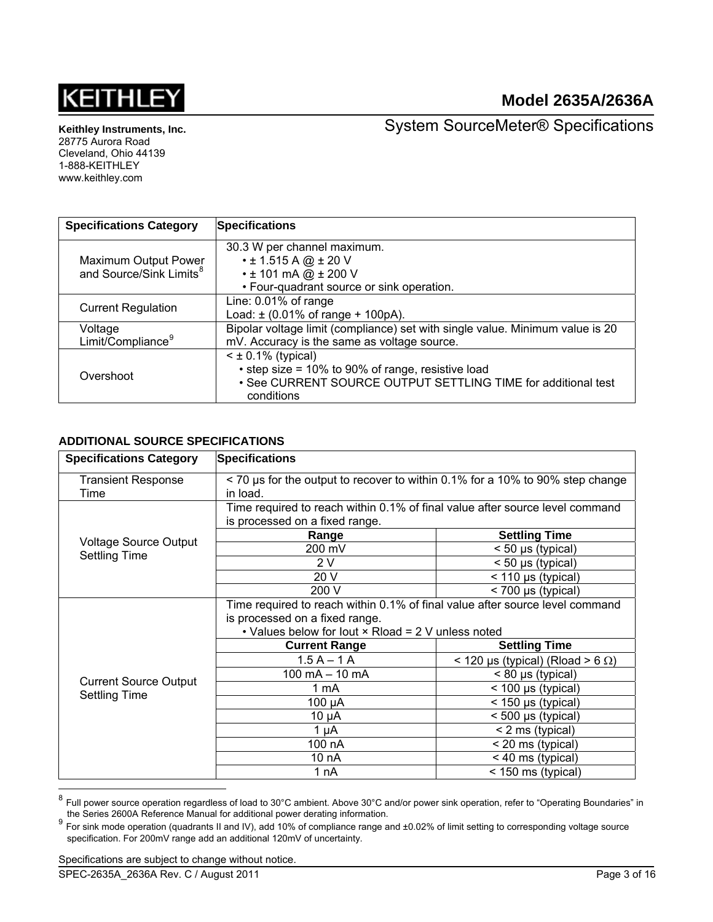

**Keithley Instruments, Inc.**  28775 Aurora Road

Cleveland, Ohio 44139 1-888-KEITHLEY www.keithley.com

System SourceMeter® Specifications

| <b>Specifications Category</b>                              | <b>Specifications</b>                                                         |
|-------------------------------------------------------------|-------------------------------------------------------------------------------|
|                                                             | 30.3 W per channel maximum.                                                   |
| Maximum Output Power<br>and Source/Sink Limits <sup>8</sup> | $\cdot$ ± 1.515 A @ ± 20 V                                                    |
|                                                             | $\cdot$ ± 101 mA @ $\pm$ 200 V                                                |
|                                                             | • Four-quadrant source or sink operation.                                     |
|                                                             | Line: 0.01% of range                                                          |
| <b>Current Regulation</b>                                   | Load: $\pm$ (0.01% of range + 100pA).                                         |
| Voltage                                                     | Bipolar voltage limit (compliance) set with single value. Minimum value is 20 |
| Limit/Compliance <sup>9</sup>                               | mV. Accuracy is the same as voltage source.                                   |
|                                                             | $\leq$ ± 0.1% (typical)                                                       |
| Overshoot                                                   | • step size = 10% to 90% of range, resistive load                             |
|                                                             | • See CURRENT SOURCE OUTPUT SETTLING TIME for additional test                 |
|                                                             | conditions                                                                    |

## **ADDITIONAL SOURCE SPECIFICATIONS**

| <b>Specifications Category</b> | <b>Specifications</b>                                                         |                                            |  |  |
|--------------------------------|-------------------------------------------------------------------------------|--------------------------------------------|--|--|
| <b>Transient Response</b>      | < 70 us for the output to recover to within 0.1% for a 10% to 90% step change |                                            |  |  |
| Time                           | in load.                                                                      |                                            |  |  |
|                                | Time required to reach within 0.1% of final value after source level command  |                                            |  |  |
|                                | is processed on a fixed range.                                                |                                            |  |  |
| <b>Voltage Source Output</b>   | Range                                                                         | <b>Settling Time</b>                       |  |  |
| <b>Settling Time</b>           | 200 mV                                                                        | < 50 µs (typical)                          |  |  |
|                                | 2 V                                                                           | $<$ 50 µs (typical)                        |  |  |
|                                | 20 V                                                                          | $<$ 110 µs (typical)                       |  |  |
|                                | 200 V                                                                         | < 700 µs (typical)                         |  |  |
|                                | Time required to reach within 0.1% of final value after source level command  |                                            |  |  |
|                                | is processed on a fixed range.                                                |                                            |  |  |
|                                | • Values below for lout × Rload = 2 V unless noted                            |                                            |  |  |
|                                | <b>Current Range</b>                                                          | <b>Settling Time</b>                       |  |  |
|                                | $1.5A - 1A$                                                                   | $<$ 120 µs (typical) (Rload > 6 $\Omega$ ) |  |  |
| <b>Current Source Output</b>   | $100 \text{ mA} - 10 \text{ mA}$                                              | $< 80 \mu s$ (typical)                     |  |  |
| <b>Settling Time</b>           | 1 mA                                                                          | $<$ 100 µs (typical)                       |  |  |
|                                | 100 µA                                                                        | $<$ 150 µs (typical)                       |  |  |
|                                | $10 \mu A$                                                                    | < 500 µs (typical)                         |  |  |
|                                | $1 \mu A$                                                                     | < 2 ms (typical)                           |  |  |
|                                | 100 nA                                                                        | < 20 ms (typical)                          |  |  |
|                                | 10 nA                                                                         | < 40 ms (typical)                          |  |  |
|                                | 1 nA                                                                          | < 150 ms (typical)                         |  |  |
|                                |                                                                               |                                            |  |  |

<span id="page-2-0"></span><sup>&</sup>lt;sup>8</sup> Full power source operation regardless of load to 30°C ambient. Above 30°C and/or power sink operation, refer to "Operating Boundaries" in the Series 2600A Reference Manual for additional power derating information.

<span id="page-2-1"></span>The Series 2600A Reference Manual for additional power derency information.<br><sup>9</sup> For sink mode operation (quadrants II and IV), add 10% of compliance range and ±0.02% of limit setting to corresponding voltage source specification. For 200mV range add an additional 120mV of uncertainty.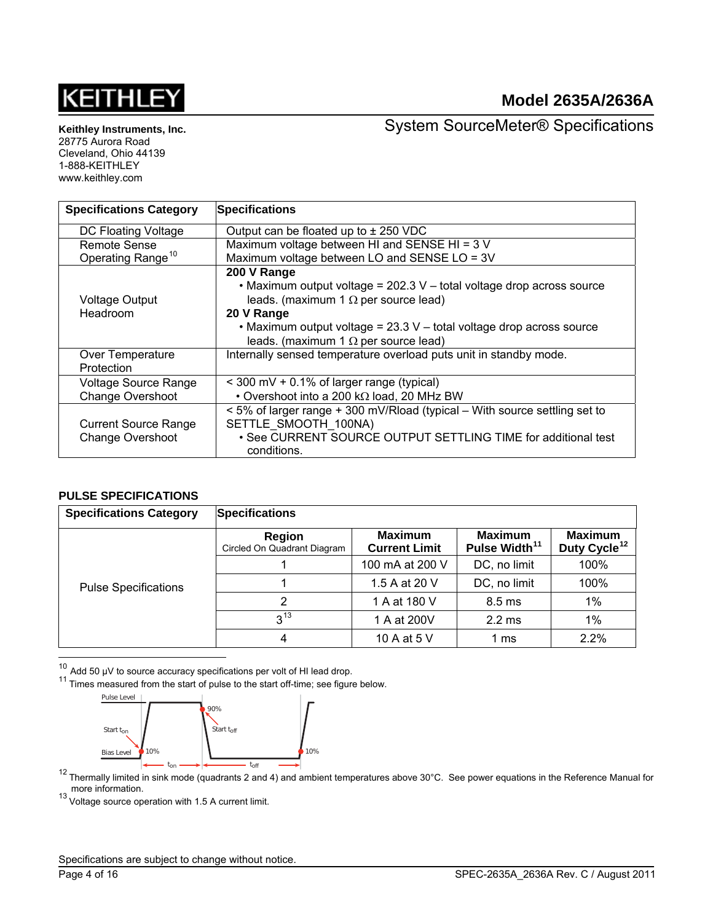# **KEITHLE**

# **Model 2635A/2636A**

**Keithley Instruments, Inc.**  28775 Aurora Road

Cleveland, Ohio 44139 1-888-KEITHLEY www.keithley.com

System SourceMeter® Specifications

| <b>Specifications Category</b> | <b>Specifications</b>                                                      |
|--------------------------------|----------------------------------------------------------------------------|
| DC Floating Voltage            | Output can be floated up to $\pm$ 250 VDC                                  |
| <b>Remote Sense</b>            | Maximum voltage between HI and SENSE HI = 3 V                              |
| Operating Range <sup>10</sup>  | Maximum voltage between LO and SENSE LO = 3V                               |
|                                | 200 V Range                                                                |
|                                | • Maximum output voltage = 202.3 V - total voltage drop across source      |
| <b>Voltage Output</b>          | leads. (maximum 1 $\Omega$ per source lead)                                |
| Headroom                       | 20 V Range                                                                 |
|                                | • Maximum output voltage = 23.3 V - total voltage drop across source       |
|                                | leads. (maximum 1 $\Omega$ per source lead)                                |
| Over Temperature               | Internally sensed temperature overload puts unit in standby mode.          |
| Protection                     |                                                                            |
| Voltage Source Range           | $<$ 300 mV + 0.1% of larger range (typical)                                |
| <b>Change Overshoot</b>        | • Overshoot into a 200 k $\Omega$ load, 20 MHz BW                          |
|                                | < 5% of larger range + 300 mV/Rload (typical – With source settling set to |
| <b>Current Source Range</b>    | SETTLE SMOOTH 100NA)                                                       |
| <b>Change Overshoot</b>        | . See CURRENT SOURCE OUTPUT SETTLING TIME for additional test              |
|                                | conditions.                                                                |

#### **PULSE SPECIFICATIONS**

| <b>Specifications Category</b> | <b>Specifications</b>                        |                                        |                                             |                                            |
|--------------------------------|----------------------------------------------|----------------------------------------|---------------------------------------------|--------------------------------------------|
|                                | <b>Region</b><br>Circled On Quadrant Diagram | <b>Maximum</b><br><b>Current Limit</b> | <b>Maximum</b><br>Pulse Width <sup>11</sup> | <b>Maximum</b><br>Duty Cycle <sup>12</sup> |
|                                |                                              | 100 mA at 200 V                        | DC, no limit                                | 100%                                       |
| <b>Pulse Specifications</b>    |                                              | 1.5 A at 20 V                          | DC, no limit                                | 100%                                       |
|                                | 2                                            | 1 A at 180 V                           | $8.5 \text{ ms}$                            | 1%                                         |
|                                | $3^{13}$                                     | 1 A at 200V                            | 2.2 <sub>ms</sub>                           | 1%                                         |
|                                | 4                                            | 10 A at 5 V                            | 1 ms                                        | 2.2%                                       |
|                                |                                              |                                        |                                             |                                            |

<span id="page-3-1"></span><span id="page-3-0"></span><sup>10</sup> Add 50 μV to source accuracy specifications per volt of HI lead drop.<br><sup>11</sup> Times measured from the start of pulse to the start off-time; see figure below.



<span id="page-3-2"></span> $12$  Thermally limited in sink mode (quadrants 2 and 4) and ambient temperatures above 30°C. See power equations in the Reference Manual for more information.<br><sup>13</sup> Voltage source operation with 1.5 A current limit.

<span id="page-3-3"></span>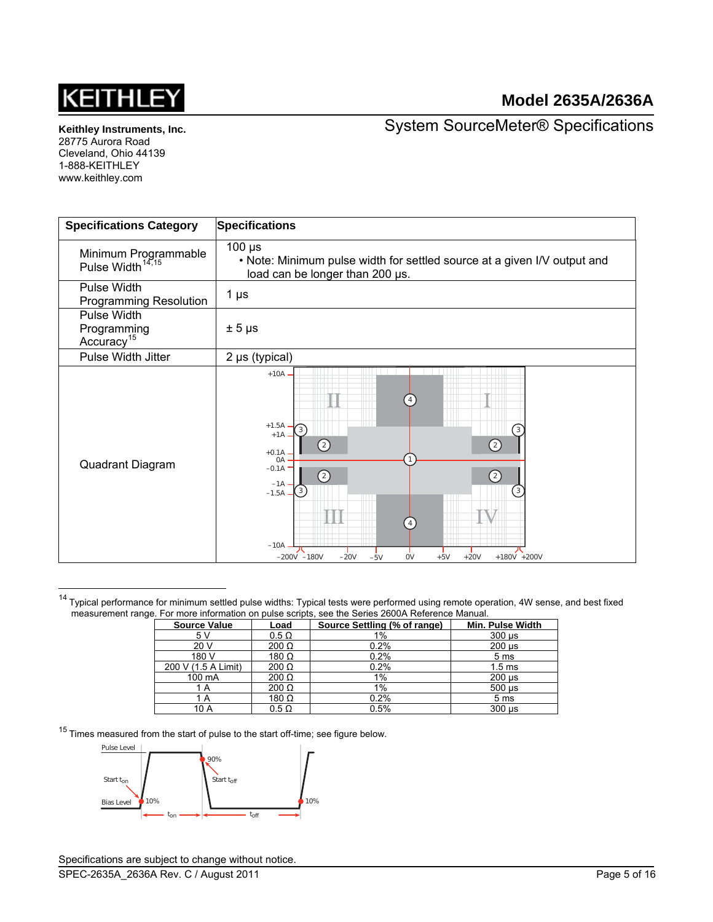

**Keithley Instruments, Inc.**  28775 Aurora Road

Cleveland, Ohio 44139 1-888-KEITHLEY www.keithley.com

<span id="page-4-0"></span>l

System SourceMeter® Specifications

| <b>Specifications Category</b>                       | <b>Specifications</b>                                                                                                                                                                                                                                                            |
|------------------------------------------------------|----------------------------------------------------------------------------------------------------------------------------------------------------------------------------------------------------------------------------------------------------------------------------------|
| Minimum Programmable<br>Pulse Width <sup>14,15</sup> | $100 \mu s$<br>. Note: Minimum pulse width for settled source at a given I/V output and<br>load can be longer than 200 µs.                                                                                                                                                       |
| Pulse Width<br><b>Programming Resolution</b>         | 1 $\mu$ s                                                                                                                                                                                                                                                                        |
| Pulse Width<br>Programming<br>Accuracy <sup>15</sup> | $± 5 \mu s$                                                                                                                                                                                                                                                                      |
| Pulse Width Jitter                                   | $2 \mu s$ (typical)                                                                                                                                                                                                                                                              |
| Quadrant Diagram                                     | $+10A$ .<br>$+1.5A$<br>$\overline{3}$<br>3<br>$+1A$<br>(2)<br>$\left( 2\right)$<br>$+0.1A$<br>0A<br>$-0.1A$<br>$\left( 2\right)$<br>(2)<br>$-1A$<br>$\frac{3}{3}$<br>3<br>$-1.5A$ .<br>$-10A$<br>$+20V$<br>$-200V -180V$<br>$-20V$<br><b>OV</b><br>$+5V$<br>+180V +200V<br>$-5V$ |

<sup>14</sup> Typical performance for minimum settled pulse widths: Typical tests were performed using remote operation, 4W sense, and best fixed measurement range. For more information on pulse scripts, see the Series 2600A Reference Manual.

| <b>Source Value</b> | Load         | Source Settling (% of range) | Min. Pulse Width          |
|---------------------|--------------|------------------------------|---------------------------|
| 5 V                 | $0.5 \Omega$ | 1%                           | $300 \mu s$               |
| 20 V                | $200 \Omega$ | 0.2%                         | $200 \mu s$               |
| 180 V               | 180 $\Omega$ | 0.2%                         | 5 <sub>ms</sub>           |
| 200 V (1.5 A Limit) | $200 \Omega$ | 0.2%                         | 1.5 <sub>ms</sub>         |
| 100 mA              | $200 \Omega$ | $1\%$                        | $200 \mu s$               |
| 1 A                 | $200 \Omega$ | $1\%$                        | $500 \text{ }\mu\text{s}$ |
| 1 A                 | 180 $\Omega$ | 0.2%                         | 5 <sub>ms</sub>           |
| 10 A                | $0.5 \Omega$ | 0.5%                         | $300 \mu s$               |

 $15$  Times measured from the start of pulse to the start off-time; see figure below.

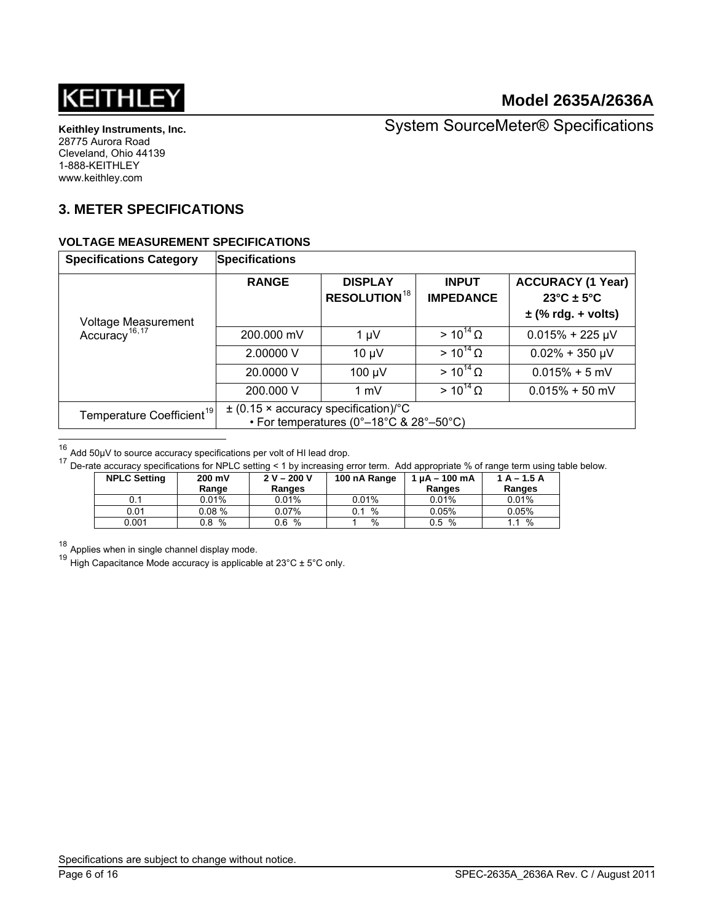

System SourceMeter® Specifications

# **3. METER SPECIFICATIONS**

#### **VOLTAGE MEASUREMENT SPECIFICATIONS**

<span id="page-5-4"></span>

| <b>Specifications Category</b>                   | <b>Specifications</b>                                                                                                             |                                                  |                                  |                                                                                       |  |
|--------------------------------------------------|-----------------------------------------------------------------------------------------------------------------------------------|--------------------------------------------------|----------------------------------|---------------------------------------------------------------------------------------|--|
|                                                  | <b>RANGE</b>                                                                                                                      | <b>DISPLAY</b><br><b>RESOLUTION<sup>18</sup></b> | <b>INPUT</b><br><b>IMPEDANCE</b> | <b>ACCURACY (1 Year)</b><br>$23^{\circ}$ C ± 5 $^{\circ}$ C<br>$\pm$ (% rdg. + volts) |  |
| Voltage Measurement<br>Accuracy <sup>16,17</sup> | 200,000 mV                                                                                                                        | $1 \mu V$                                        | $> 10^{14} \Omega$               | $0.015% + 225 \mu V$                                                                  |  |
|                                                  | 2.00000 V                                                                                                                         | $10 \mu V$                                       | $> 10^{14} \Omega$               | $0.02\% + 350 \mu V$                                                                  |  |
|                                                  | 20,0000 V                                                                                                                         | 100 µV                                           | $> 10^{14} \Omega$               | $0.015% + 5$ mV                                                                       |  |
|                                                  | 200,000 V                                                                                                                         | $1 \text{ mV}$                                   | $> 10^{14} \Omega$               | $0.015\% + 50$ mV                                                                     |  |
| Temperature Coefficient <sup>19</sup>            | $\pm$ (0.15 × accuracy specification)/°C<br>• For temperatures ( $0^\circ - 18^\circ \text{C}$ & $28^\circ - 50^\circ \text{C}$ ) |                                                  |                                  |                                                                                       |  |
|                                                  |                                                                                                                                   |                                                  |                                  |                                                                                       |  |

<span id="page-5-0"></span> $16$  Add 50µV to source accuracy specifications per volt of HI lead drop.

<span id="page-5-1"></span> $17$  De-rate accuracy specifications for NPLC setting < 1 by increasing error term. Add appropriate % of range term using table below.

| <b>NPLC Setting</b> | 200 mV<br>Range | $2 V - 200 V$<br>Ranges | 100 nA Range | $1 \mu A - 100 \mu A$<br>Ranges | $1A - 1.5A$<br>Ranges |
|---------------------|-----------------|-------------------------|--------------|---------------------------------|-----------------------|
| 0.1                 | $0.01\%$        | 0.01%                   | 0.01%        | 0.01%                           | 0.01%                 |
|                     |                 |                         |              |                                 |                       |
| 0.01                | 0.08%           | 0.07%                   | $\%$         | 0.05%                           | 0.05%                 |
| 0.001               | %<br>0.8        | %<br>0.6                | %            | %<br>0.5                        | %                     |

<span id="page-5-2"></span><sup>18</sup> Applies when in single channel display mode.

<span id="page-5-3"></span><sup>19</sup> High Capacitance Mode accuracy is applicable at  $23^{\circ}$ C ± 5°C only.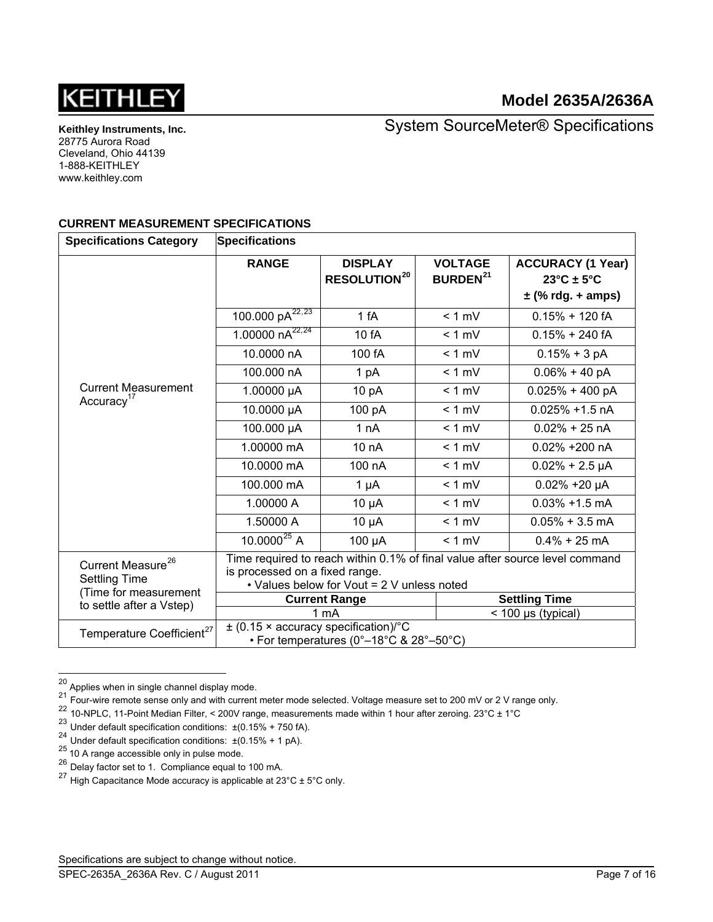

**Keithley Instruments, Inc.**  28775 Aurora Road Cleveland, Ohio 44139 1-888-KEITHLEY www.keithley.com

System SourceMeter® Specifications

#### **CURRENT MEASUREMENT SPECIFICATIONS**

| <b>Specifications Category</b>                        | <b>Specifications</b>                                                                                                                                        |                                                  |                                              |                                                  |
|-------------------------------------------------------|--------------------------------------------------------------------------------------------------------------------------------------------------------------|--------------------------------------------------|----------------------------------------------|--------------------------------------------------|
|                                                       | <b>RANGE</b>                                                                                                                                                 | <b>DISPLAY</b><br><b>RESOLUTION<sup>20</sup></b> | <b>VOLTAGE</b><br><b>BURDEN<sup>21</sup></b> | <b>ACCURACY (1 Year)</b><br>$23^{\circ}$ C ± 5°C |
|                                                       |                                                                                                                                                              |                                                  |                                              | $\pm$ (% rdg. + amps)                            |
|                                                       | 100.000 $pA^{22,23}$                                                                                                                                         | 1 fA                                             | $< 1$ mV                                     | $0.15% + 120$ fA                                 |
|                                                       | 1.00000 $nA^{22,24}$                                                                                                                                         | 10 fA                                            | $< 1$ mV                                     | $0.15% + 240fA$                                  |
|                                                       | 10.0000 nA                                                                                                                                                   | 100 fA                                           | $< 1$ mV                                     | $0.15% + 3 pA$                                   |
|                                                       | 100.000 nA                                                                                                                                                   | 1 pA                                             | $< 1$ mV                                     | $0.06\% + 40 pA$                                 |
| <b>Current Measurement</b><br>Accuracy <sup>17</sup>  | 1.00000 µA                                                                                                                                                   | 10 pA                                            | $< 1$ mV                                     | $0.025% + 400 pA$                                |
|                                                       | 10.0000 µA                                                                                                                                                   | 100 pA                                           | $< 1$ mV                                     | $0.025\% + 1.5$ nA                               |
|                                                       | 100.000 µA                                                                                                                                                   | 1 nA                                             | $< 1$ mV                                     | $0.02\% + 25$ nA                                 |
|                                                       | 1.00000 mA                                                                                                                                                   | 10 nA                                            | $< 1$ mV                                     | $0.02\% + 200$ nA                                |
|                                                       | 10.0000 mA                                                                                                                                                   | 100 nA                                           | $< 1$ mV                                     | $0.02\% + 2.5 \mu A$                             |
|                                                       | 100,000 mA                                                                                                                                                   | $1 \mu A$                                        | $< 1$ mV                                     | $0.02\% + 20 \mu A$                              |
|                                                       | 1.00000 A                                                                                                                                                    | $10 \mu A$                                       | $< 1$ mV                                     | $0.03\% + 1.5$ mA                                |
|                                                       | 1.50000 A                                                                                                                                                    | $10 \mu A$                                       | $< 1$ mV                                     | $0.05\% + 3.5$ mA                                |
|                                                       | $10.0000^{25}$ A                                                                                                                                             | 100 µA                                           | $< 1$ mV                                     | $0.4\% + 25$ mA                                  |
| Current Measure <sup>26</sup><br><b>Settling Time</b> | Time required to reach within 0.1% of final value after source level command<br>is processed on a fixed range.<br>• Values below for Vout = 2 V unless noted |                                                  |                                              |                                                  |
| (Time for measurement<br>to settle after a Vstep)     |                                                                                                                                                              | <b>Current Range</b>                             |                                              | <b>Settling Time</b>                             |
|                                                       |                                                                                                                                                              | 1 mA                                             |                                              | $<$ 100 µs (typical)                             |
| Temperature Coefficient <sup>27</sup>                 | $\pm$ (0.15 × accuracy specification)/°C                                                                                                                     | • For temperatures (0°–18°C & 28°–50°C)          |                                              |                                                  |

<span id="page-6-0"></span> $^{20}$  Applies when in single channel display mode.

l

 $^{21}$  Four-wire remote sense only and with current meter mode selected. Voltage measure set to 200 mV or 2 V range only.

<span id="page-6-2"></span><span id="page-6-1"></span><sup>22 10-</sup>NPLC, 11-Point Median Filter, < 200V range, measurements made within 1 hour after zeroing. 23°C ± 1°C

<span id="page-6-3"></span><sup>23</sup> Under default specification conditions:  $\pm (0.15\% + 750 \text{ fA})$ .

<span id="page-6-4"></span><sup>24</sup> Under default specification conditions:  $\pm (0.15\% + 1 \text{ pA})$ .

<span id="page-6-6"></span><span id="page-6-5"></span><sup>&</sup>lt;sup>25</sup> 10 A range accessible only in pulse mode.

 $26$  Delay factor set to 1. Compliance equal to 100 mA.

<span id="page-6-7"></span><sup>&</sup>lt;sup>27</sup> High Capacitance Mode accuracy is applicable at  $23^{\circ}$ C  $\pm$  5°C only.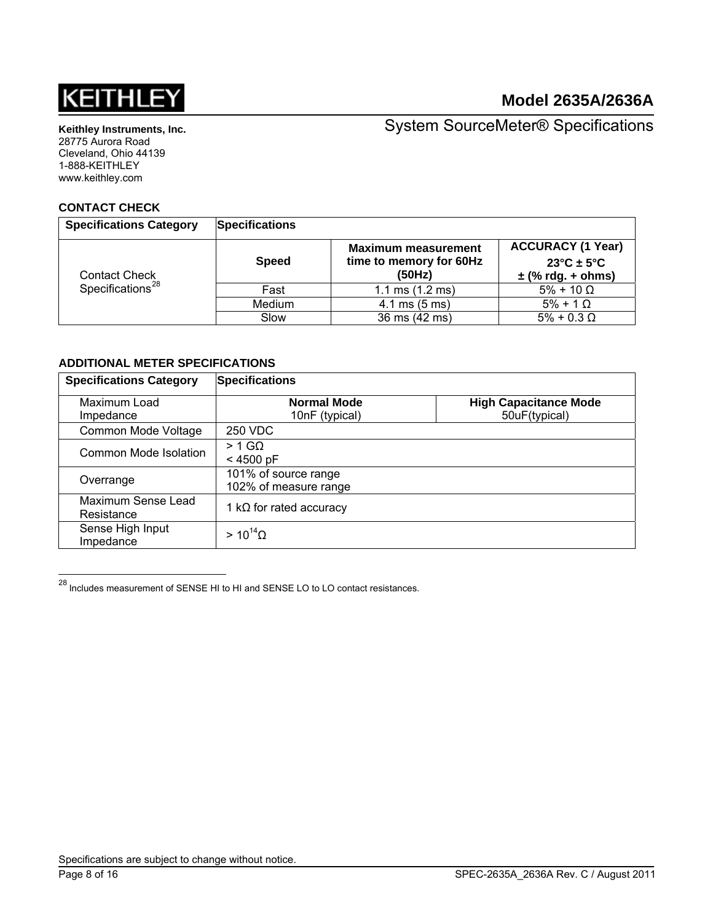

**Keithley Instruments, Inc.**  28775 Aurora Road

Cleveland, Ohio 44139 1-888-KEITHLEY www.keithley.com

System SourceMeter® Specifications

#### **CONTACT CHECK**

| <b>Specifications Category</b>                       | <b>Specifications</b> |                                                                 |                                                                                      |
|------------------------------------------------------|-----------------------|-----------------------------------------------------------------|--------------------------------------------------------------------------------------|
| <b>Contact Check</b><br>Specifications <sup>28</sup> | <b>Speed</b>          | <b>Maximum measurement</b><br>time to memory for 60Hz<br>(50Hz) | <b>ACCURACY (1 Year)</b><br>$23^{\circ}$ C ± 5 $^{\circ}$ C<br>$\pm$ (% rdg. + ohms) |
|                                                      | Fast                  | 1.1 ms $(1.2 \text{ ms})$                                       | $5\% + 10 \Omega$                                                                    |
|                                                      | Medium                | $4.1 \text{ ms } (5 \text{ ms})$                                | $5\% + 1\Omega$                                                                      |
|                                                      | Slow                  | 36 ms (42 ms)                                                   | $5\% + 0.3 \Omega$                                                                   |

#### **ADDITIONAL METER SPECIFICATIONS**

| <b>Specifications Category</b>   | <b>Specifications</b>                         |                                               |  |  |
|----------------------------------|-----------------------------------------------|-----------------------------------------------|--|--|
| Maximum Load<br>Impedance        | <b>Normal Mode</b><br>10nF (typical)          | <b>High Capacitance Mode</b><br>50uF(typical) |  |  |
| Common Mode Voltage              | 250 VDC                                       |                                               |  |  |
| Common Mode Isolation            | $> 1$ GQ<br>$< 4500$ pF                       |                                               |  |  |
| Overrange                        | 101% of source range<br>102% of measure range |                                               |  |  |
| Maximum Sense Lead<br>Resistance | 1 k $\Omega$ for rated accuracy               |                                               |  |  |
| Sense High Input<br>Impedance    | $> 10^{14}$ $\Omega$                          |                                               |  |  |

<span id="page-7-0"></span> $^{28}$  Includes measurement of SENSE HI to HI and SENSE LO to LO contact resistances.

l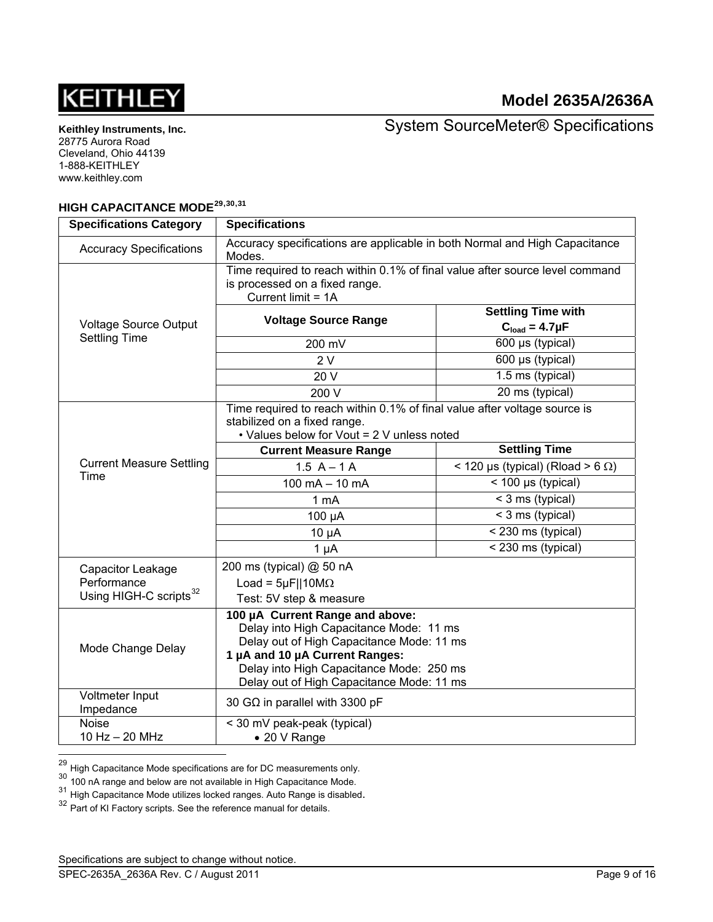

System SourceMeter® Specifications

# **HIGH CAPACITANCE MODE[29](#page-8-0),[30](#page-8-1),[31](#page-8-2)**

| <b>Specifications Category</b>     | <b>Specifications</b>                                                                                                                                                                                                                              |                                          |  |  |
|------------------------------------|----------------------------------------------------------------------------------------------------------------------------------------------------------------------------------------------------------------------------------------------------|------------------------------------------|--|--|
| <b>Accuracy Specifications</b>     | Accuracy specifications are applicable in both Normal and High Capacitance<br>Modes.                                                                                                                                                               |                                          |  |  |
|                                    | Time required to reach within 0.1% of final value after source level command<br>is processed on a fixed range.<br>Current limit = 1A                                                                                                               |                                          |  |  |
|                                    |                                                                                                                                                                                                                                                    | <b>Settling Time with</b>                |  |  |
| <b>Voltage Source Output</b>       | <b>Voltage Source Range</b>                                                                                                                                                                                                                        | $Cload = 4.7 \mu F$                      |  |  |
| <b>Settling Time</b>               | 200 mV                                                                                                                                                                                                                                             | 600 µs (typical)                         |  |  |
|                                    | 2V                                                                                                                                                                                                                                                 | 600 µs (typical)                         |  |  |
|                                    | 20 V                                                                                                                                                                                                                                               | 1.5 ms (typical)                         |  |  |
|                                    | 200 V                                                                                                                                                                                                                                              | 20 ms (typical)                          |  |  |
|                                    | Time required to reach within 0.1% of final value after voltage source is<br>stabilized on a fixed range.<br>• Values below for Vout = 2 V unless noted                                                                                            |                                          |  |  |
|                                    | <b>Current Measure Range</b>                                                                                                                                                                                                                       | <b>Settling Time</b>                     |  |  |
| <b>Current Measure Settling</b>    | $1.5 A - 1 A$                                                                                                                                                                                                                                      | < 120 µs (typical) (Rload > 6 $\Omega$ ) |  |  |
| Time                               | 100 mA $-$ 10 mA                                                                                                                                                                                                                                   | $<$ 100 µs (typical)                     |  |  |
|                                    | 1 <sub>m</sub> A                                                                                                                                                                                                                                   | < 3 ms (typical)                         |  |  |
|                                    | 100 µA                                                                                                                                                                                                                                             | $<$ 3 ms (typical)                       |  |  |
|                                    | $10 \mu A$                                                                                                                                                                                                                                         | $\sqrt{230}$ ms (typical)                |  |  |
|                                    | $1 \mu A$                                                                                                                                                                                                                                          | < 230 ms (typical)                       |  |  |
| Capacitor Leakage                  | 200 ms (typical) @ 50 nA                                                                                                                                                                                                                           |                                          |  |  |
| Performance                        | Load = $5\mu$ F  10M $\Omega$                                                                                                                                                                                                                      |                                          |  |  |
| Using HIGH-C scripts <sup>32</sup> | Test: 5V step & measure                                                                                                                                                                                                                            |                                          |  |  |
| Mode Change Delay                  | 100 µA Current Range and above:<br>Delay into High Capacitance Mode: 11 ms<br>Delay out of High Capacitance Mode: 11 ms<br>1 µA and 10 µA Current Ranges:<br>Delay into High Capacitance Mode: 250 ms<br>Delay out of High Capacitance Mode: 11 ms |                                          |  |  |
| Voltmeter Input<br>Impedance       | 30 G $\Omega$ in parallel with 3300 pF                                                                                                                                                                                                             |                                          |  |  |
| <b>Noise</b>                       | < 30 mV peak-peak (typical)                                                                                                                                                                                                                        |                                          |  |  |
| 10 Hz - 20 MHz                     | • 20 V Range                                                                                                                                                                                                                                       |                                          |  |  |
|                                    |                                                                                                                                                                                                                                                    |                                          |  |  |

<span id="page-8-0"></span><sup>&</sup>lt;sup>29</sup> High Capacitance Mode specifications are for DC measurements only.

<span id="page-8-1"></span><sup>&</sup>lt;sup>30</sup> 100 nA range and below are not available in High Capacitance Mode.

<span id="page-8-2"></span><sup>&</sup>lt;sup>31</sup> High Capacitance Mode utilizes locked ranges. Auto Range is disabled.<br><sup>32</sup> Part of KI Factory scripts. See the reference manual for details.

<span id="page-8-3"></span>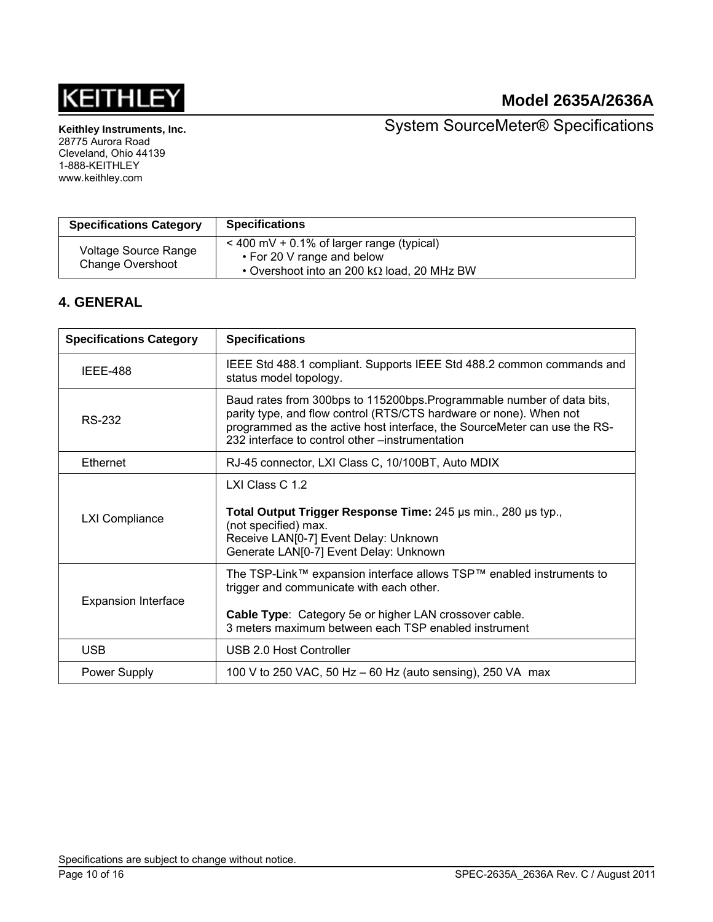

**Keithley Instruments, Inc.**  28775 Aurora Road

Cleveland, Ohio 44139 1-888-KEITHLEY www.keithley.com

System SourceMeter® Specifications

| <b>Specifications Category</b>           | <b>Specifications</b>                                                                                                                 |
|------------------------------------------|---------------------------------------------------------------------------------------------------------------------------------------|
| Voltage Source Range<br>Change Overshoot | $<$ 400 mV + 0.1% of larger range (typical)<br>• For 20 V range and below<br>$\cdot$ Overshoot into an 200 k $\Omega$ load, 20 MHz BW |

# **4. GENERAL**

| <b>Specifications Category</b> | <b>Specifications</b>                                                                                                                                                                                                                                                       |  |  |  |
|--------------------------------|-----------------------------------------------------------------------------------------------------------------------------------------------------------------------------------------------------------------------------------------------------------------------------|--|--|--|
| <b>IEEE-488</b>                | IEEE Std 488.1 compliant. Supports IEEE Std 488.2 common commands and<br>status model topology.                                                                                                                                                                             |  |  |  |
| RS-232                         | Baud rates from 300bps to 115200bps. Programmable number of data bits,<br>parity type, and flow control (RTS/CTS hardware or none). When not<br>programmed as the active host interface, the SourceMeter can use the RS-<br>232 interface to control other –instrumentation |  |  |  |
| <b>Ethernet</b>                | RJ-45 connector, LXI Class C, 10/100BT, Auto MDIX                                                                                                                                                                                                                           |  |  |  |
| <b>LXI Compliance</b>          | LXI Class C 1.2<br>Total Output Trigger Response Time: 245 us min., 280 us typ.,<br>(not specified) max.<br>Receive LAN[0-7] Event Delay: Unknown<br>Generate LAN[0-7] Event Delay: Unknown                                                                                 |  |  |  |
| <b>Expansion Interface</b>     | The TSP-Link™ expansion interface allows TSP™ enabled instruments to<br>trigger and communicate with each other.<br>Cable Type: Category 5e or higher LAN crossover cable.<br>3 meters maximum between each TSP enabled instrument                                          |  |  |  |
| <b>USB</b>                     | USB 2.0 Host Controller                                                                                                                                                                                                                                                     |  |  |  |
| <b>Power Supply</b>            | 100 V to 250 VAC, 50 Hz - 60 Hz (auto sensing), 250 VA max                                                                                                                                                                                                                  |  |  |  |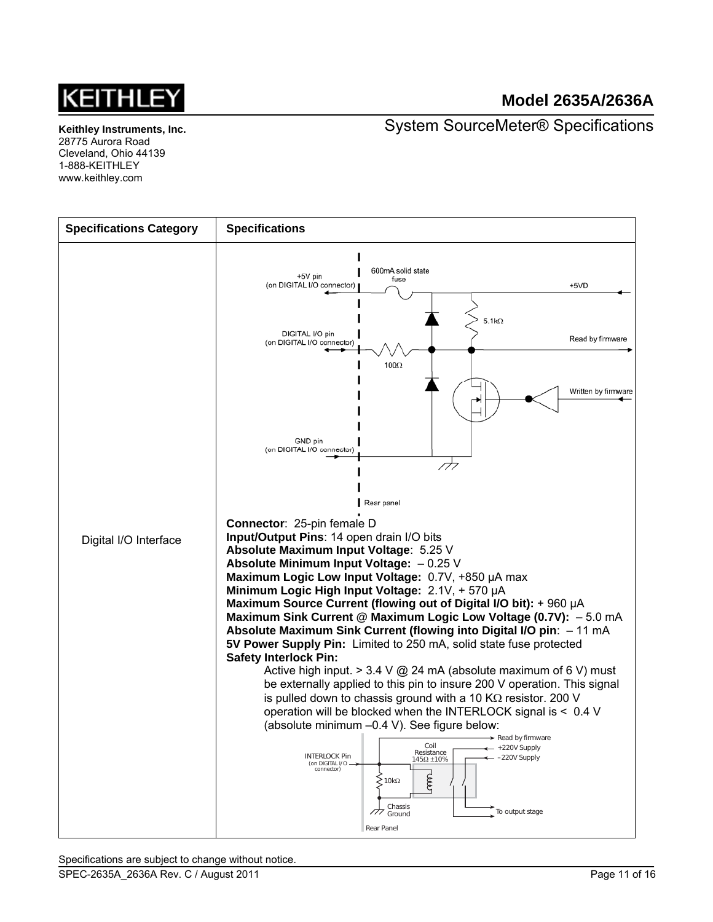

System SourceMeter® Specifications

**Keithley Instruments, Inc.**  28775 Aurora Road Cleveland, Ohio 44139 1-888-KEITHLEY www.keithley.com

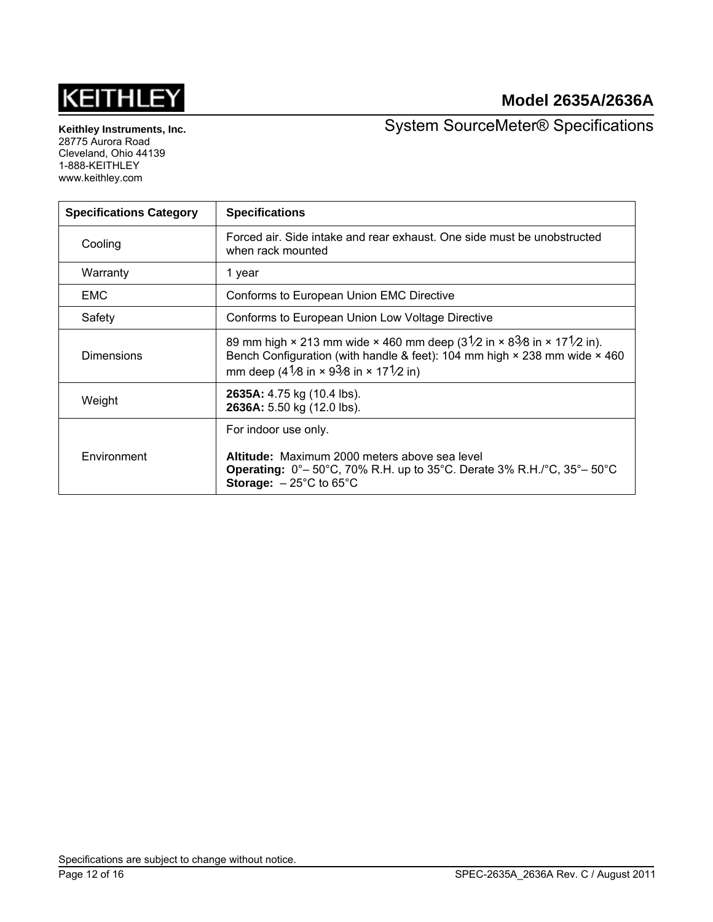# **KEITHLEY**

# **Model 2635A/2636A**

**Keithley Instruments, Inc.**  28775 Aurora Road Cleveland, Ohio 44139 1-888-KEITHLEY www.keithley.com

System SourceMeter® Specifications

| <b>Specifications Category</b> | <b>Specifications</b>                                                                                                                                                                                                                                                         |  |  |
|--------------------------------|-------------------------------------------------------------------------------------------------------------------------------------------------------------------------------------------------------------------------------------------------------------------------------|--|--|
| Cooling                        | Forced air. Side intake and rear exhaust. One side must be unobstructed<br>when rack mounted                                                                                                                                                                                  |  |  |
| Warranty                       | 1 year                                                                                                                                                                                                                                                                        |  |  |
| <b>EMC</b>                     | Conforms to European Union EMC Directive                                                                                                                                                                                                                                      |  |  |
| Safety                         | Conforms to European Union Low Voltage Directive                                                                                                                                                                                                                              |  |  |
| Dimensions                     | 89 mm high $\times$ 213 mm wide $\times$ 460 mm deep (31/2 in $\times$ 83/8 in $\times$ 171/2 in).<br>Bench Configuration (with handle & feet): 104 mm high $\times$ 238 mm wide $\times$ 460<br>mm deep (41/8 in $\times$ 93/8 in $\times$ 171/2 in)                         |  |  |
| Weight                         | 2635A: 4.75 kg (10.4 lbs).<br>2636A: 5.50 kg (12.0 lbs).                                                                                                                                                                                                                      |  |  |
| Environment                    | For indoor use only.<br>Altitude: Maximum 2000 meters above sea level<br><b>Operating:</b> $0^{\circ}$ – 50 $^{\circ}$ C, 70% R.H. up to 35 $^{\circ}$ C. Derate 3% R.H./ $^{\circ}$ C, 35 $^{\circ}$ – 50 $^{\circ}$ C<br><b>Storage:</b> $-25^{\circ}$ C to 65 $^{\circ}$ C |  |  |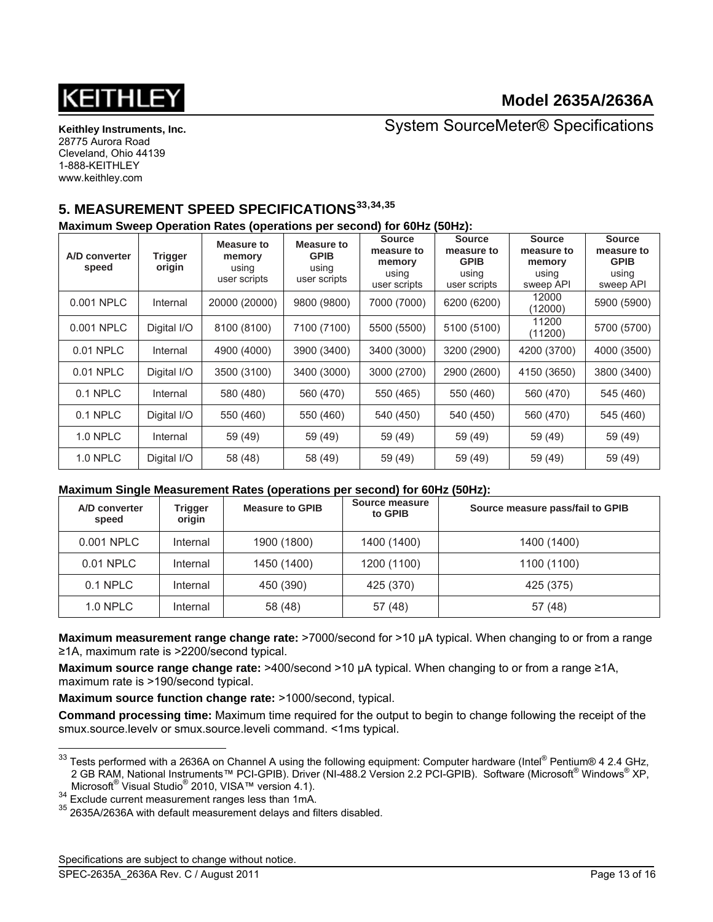

System SourceMeter® Specifications

# **5. MEASUREMENT SPEED SPECIFICATIONS[33](#page-12-0),[34](#page-12-1),[35](#page-12-2)**

#### **Maximum Sweep Operation Rates (operations per second) for 60Hz (50Hz):**

| A/D converter<br>speed | <b>Trigger</b><br>origin | Measure to<br>memory<br>using<br>user scripts | Measure to<br><b>GPIB</b><br>using<br>user scripts | <b>Source</b><br>measure to<br>memory<br>using<br>user scripts | <b>Source</b><br>measure to<br><b>GPIB</b><br>using<br>user scripts | <b>Source</b><br>measure to<br>memory<br>using<br>sweep API | <b>Source</b><br>measure to<br><b>GPIB</b><br>using<br>sweep API |
|------------------------|--------------------------|-----------------------------------------------|----------------------------------------------------|----------------------------------------------------------------|---------------------------------------------------------------------|-------------------------------------------------------------|------------------------------------------------------------------|
| 0.001 NPLC             | Internal                 | 20000 (20000)                                 | 9800 (9800)                                        | 7000 (7000)                                                    | 6200 (6200)                                                         | 12000<br>(12000)                                            | 5900 (5900)                                                      |
| 0.001 NPLC             | Digital I/O              | 8100 (8100)                                   | 7100 (7100)                                        | 5500 (5500)                                                    | 5100 (5100)                                                         | 11200<br>(11200)                                            | 5700 (5700)                                                      |
| 0.01 NPLC              | Internal                 | 4900 (4000)                                   | 3900 (3400)                                        | 3400 (3000)                                                    | 3200 (2900)                                                         | 4200 (3700)                                                 | 4000 (3500)                                                      |
| 0.01 NPLC              | Digital I/O              | 3500 (3100)                                   | 3400 (3000)                                        | 3000 (2700)                                                    | 2900 (2600)                                                         | 4150 (3650)                                                 | 3800 (3400)                                                      |
| 0.1 NPLC               | Internal                 | 580 (480)                                     | 560 (470)                                          | 550 (465)                                                      | 550 (460)                                                           | 560 (470)                                                   | 545 (460)                                                        |
| 0.1 NPLC               | Digital I/O              | 550 (460)                                     | 550 (460)                                          | 540 (450)                                                      | 540 (450)                                                           | 560 (470)                                                   | 545 (460)                                                        |
| 1.0 NPLC               | Internal                 | 59 (49)                                       | 59 (49)                                            | 59 (49)                                                        | 59 (49)                                                             | 59 (49)                                                     | 59 (49)                                                          |
| <b>1.0 NPLC</b>        | Digital I/O              | 58 (48)                                       | 58 (49)                                            | 59 (49)                                                        | 59 (49)                                                             | 59 (49)                                                     | 59 (49)                                                          |

#### **Maximum Single Measurement Rates (operations per second) for 60Hz (50Hz):**

| A/D converter<br>speed | Trigger<br>origin | <b>Measure to GPIB</b> | Source measure<br>to GPIB | Source measure pass/fail to GPIB |
|------------------------|-------------------|------------------------|---------------------------|----------------------------------|
| 0.001 NPLC             | Internal          | 1900 (1800)            | 1400 (1400)               | 1400 (1400)                      |
| 0.01 NPLC              | Internal          | 1450 (1400)            | 1200 (1100)               | 1100 (1100)                      |
| $0.1$ NPLC             | Internal          | 450 (390)              | 425 (370)                 | 425 (375)                        |
| $1.0$ NPLC             | Internal          | 58 (48)                | 57 (48)                   | 57 (48)                          |

**Maximum measurement range change rate:** >7000/second for >10 µA typical. When changing to or from a range ≥1A, maximum rate is >2200/second typical.

**Maximum source range change rate:** >400/second >10 µA typical. When changing to or from a range ≥1A, maximum rate is >190/second typical.

**Maximum source function change rate: >1000/second, typical.** 

**Command processing time:** Maximum time required for the output to begin to change following the receipt of the smux.source.levelv or smux.source.leveli command. <1ms typical.

<span id="page-12-2"></span><span id="page-12-1"></span>2010, VIST VISTAM STREET, VIST 2012, VIST 264 Exclude current measurement ranges less than 1mA.<br><sup>35</sup> 2635A/2636A with default measurement delays and filters disabled.

Specifications are subject to change without notice.

l

<span id="page-12-0"></span> $33$  Tests performed with a 2636A on Channel A using the following equipment: Computer hardware (Intel® Pentium® 4 2.4 GHz, 2 GB RAM, National Instruments™ PCI-GPIB). Driver (NI-488.2 Version 2.2 PCI-GPIB). Software (Microsoft® Windows® XP, Microsoft® Visual Studio<sup>®</sup>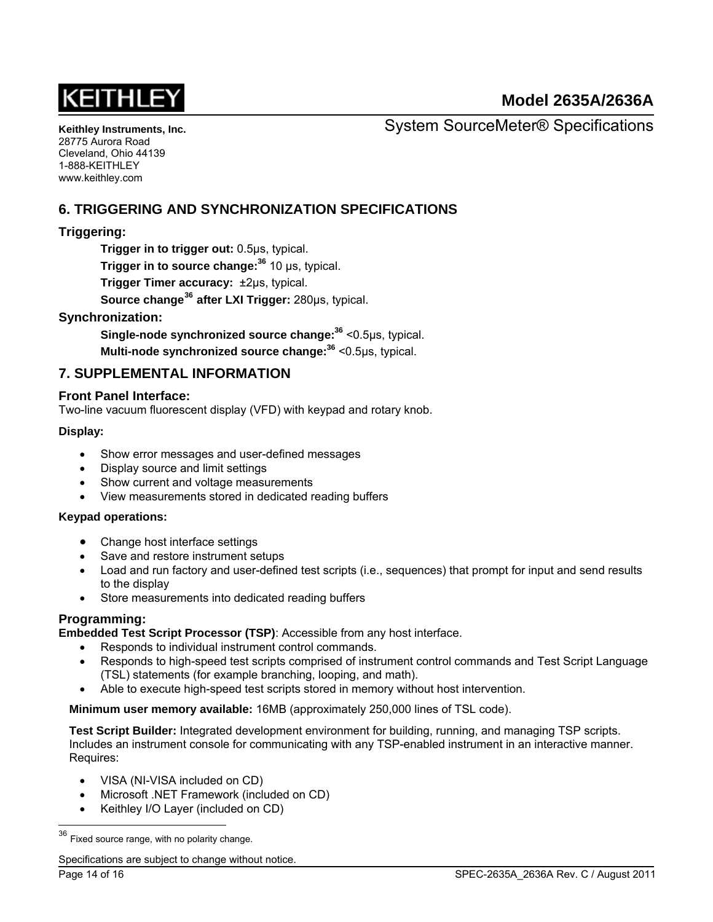

**Keithley Instruments, Inc.**  28775 Aurora Road Cleveland, Ohio 44139 1-888-KEITHLEY www.keithley.com

System SourceMeter® Specifications

# **6. TRIGGERING AND SYNCHRONIZATION SPECIFICATIONS**

## **Triggering:**

**Trigger in to trigger out:** 0.5μs, typical. **Trigger in to source change:<sup>36</sup>** 10 μs, typical. **Trigger Timer accuracy:** ±2μs, typical.  **Source change[36](#page-13-0) after LXI Trigger:** 280μs, typical.

#### <span id="page-13-1"></span>**Synchronization:**

**Single-node synchronized source change[:36](#page-13-1)** <0.5μs, typical.

**Multi-node synchronized source change:[36](#page-13-1)** <0.5μs, typical.

## **7. SUPPLEMENTAL INFORMATION**

#### **Front Panel Interface:**

Two-line vacuum fluorescent display (VFD) with keypad and rotary knob.

#### **Display:**

- Show error messages and user-defined messages
- Display source and limit settings
- Show current and voltage measurements
- View measurements stored in dedicated reading buffers

#### **Keypad operations:**

- Change host interface settings
- Save and restore instrument setups
- Load and run factory and user-defined test scripts (i.e., sequences) that prompt for input and send results to the display
- Store measurements into dedicated reading buffers

## **Programming:**

**Embedded Test Script Processor (TSP)**: Accessible from any host interface.

- Responds to individual instrument control commands.
- Responds to high-speed test scripts comprised of instrument control commands and Test Script Language (TSL) statements (for example branching, looping, and math).
- Able to execute high-speed test scripts stored in memory without host intervention.

**Minimum user memory available:** 16MB (approximately 250,000 lines of TSL code).

**Test Script Builder:** Integrated development environment for building, running, and managing TSP scripts. Includes an instrument console for communicating with any TSP-enabled instrument in an interactive manner. Requires:

- VISA (NI-VISA included on CD)
- Microsoft .NET Framework (included on CD)
- Keithley I/O Layer (included on CD)

l

<span id="page-13-0"></span> $36$  Fixed source range, with no polarity change.

Specifications are subject to change without notice.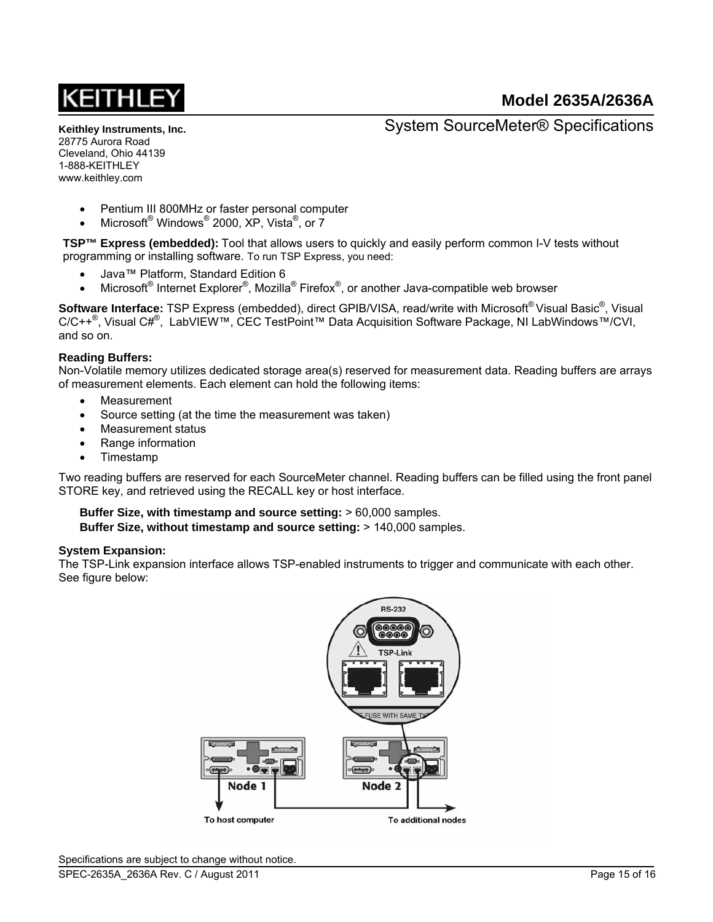**Keithley Instruments, Inc.**  28775 Aurora Road Cleveland, Ohio 44139 1-888-KEITHLEY www.keithley.com

System SourceMeter® Specifications

- Pentium III 800MHz or faster personal computer
- Microsoft Windows 2000, XP, Vista <sup>®</sup>, or 7

**TSP™ Express (embedded):** Tool that allows users to quickly and easily perform common I-V tests without programming or installing software. To run TSP Express, you need:

- Java™ Platform, Standard Edition 6
- Microsoft<sup>®</sup> Internet Explorer®, Mozilla® Firefox<sup>®</sup>, or another Java-compatible web browser

Software Interface: TSP Express (embedded), direct GPIB/VISA, read/write with Microsoft®Visual Basic<sup>®</sup>, Visual C/C++<sup>®</sup>, Visual C#<sup>®</sup>, LabVIEW™, CEC TestPoint™ Data Acquisition Software Package, NI LabWindows™/CVI, and so on.

#### **Reading Buffers:**

Non-Volatile memory utilizes dedicated storage area(s) reserved for measurement data. Reading buffers are arrays of measurement elements. Each element can hold the following items:

- Measurement
- Source setting (at the time the measurement was taken)
- Measurement status
- Range information
- Timestamp

Two reading buffers are reserved for each SourceMeter channel. Reading buffers can be filled using the front panel STORE key, and retrieved using the RECALL key or host interface.

**Buffer Size, with timestamp and source setting:** > 60,000 samples. **Buffer Size, without timestamp and source setting:** > 140,000 samples.

#### **System Expansion:**

The TSP-Link expansion interface allows TSP-enabled instruments to trigger and communicate with each other. See figure below: